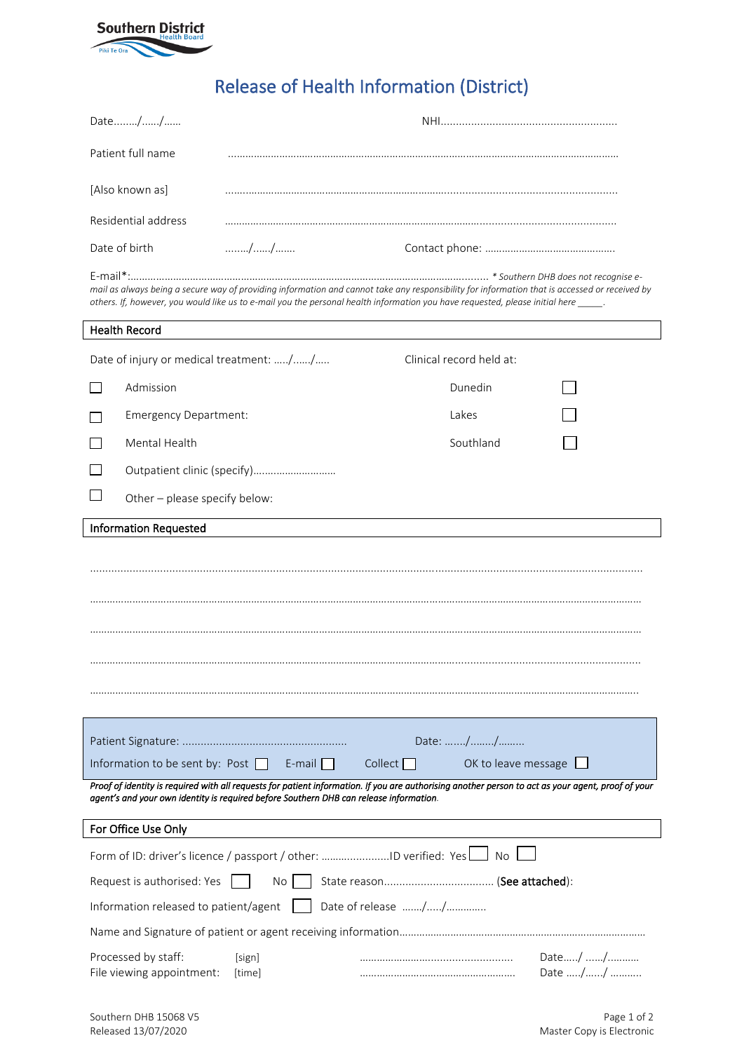

## Release of Health Information (District)

| Date//                                                                                                                                                                                                                                                                                |                             |                          |                            |  |
|---------------------------------------------------------------------------------------------------------------------------------------------------------------------------------------------------------------------------------------------------------------------------------------|-----------------------------|--------------------------|----------------------------|--|
| Patient full name                                                                                                                                                                                                                                                                     |                             |                          |                            |  |
| [Also known as]                                                                                                                                                                                                                                                                       |                             |                          |                            |  |
| Residential address                                                                                                                                                                                                                                                                   |                             |                          |                            |  |
| Date of birth                                                                                                                                                                                                                                                                         |                             |                          |                            |  |
| mail as always being a secure way of providing information and cannot take any responsibility for information that is accessed or received by<br>others. If, however, you would like us to e-mail you the personal health information you have requested, please initial here ______. |                             |                          |                            |  |
| <b>Health Record</b>                                                                                                                                                                                                                                                                  |                             |                          |                            |  |
| Date of injury or medical treatment: //                                                                                                                                                                                                                                               |                             | Clinical record held at: |                            |  |
| Admission                                                                                                                                                                                                                                                                             |                             | Dunedin                  |                            |  |
| <b>Emergency Department:</b>                                                                                                                                                                                                                                                          |                             | Lakes                    |                            |  |
| Mental Health                                                                                                                                                                                                                                                                         |                             | Southland                |                            |  |
|                                                                                                                                                                                                                                                                                       | Outpatient clinic (specify) |                          |                            |  |
| Other - please specify below:                                                                                                                                                                                                                                                         |                             |                          |                            |  |
| <b>Information Requested</b>                                                                                                                                                                                                                                                          |                             |                          |                            |  |
|                                                                                                                                                                                                                                                                                       |                             |                          |                            |  |
|                                                                                                                                                                                                                                                                                       |                             |                          |                            |  |
|                                                                                                                                                                                                                                                                                       |                             |                          |                            |  |
|                                                                                                                                                                                                                                                                                       |                             |                          |                            |  |
|                                                                                                                                                                                                                                                                                       |                             |                          |                            |  |
|                                                                                                                                                                                                                                                                                       |                             |                          |                            |  |
|                                                                                                                                                                                                                                                                                       |                             |                          |                            |  |
|                                                                                                                                                                                                                                                                                       |                             | Date: //                 |                            |  |
| Information to be sent by: Post                                                                                                                                                                                                                                                       | $E$ -mail                   | Collect                  | OK to leave message $\Box$ |  |
| Proof of identity is required with all requests for patient information. If you are authorising another person to act as your agent, proof of your<br>agent's and your own identity is required before Southern DHB can release information.                                          |                             |                          |                            |  |
| For Office Use Only                                                                                                                                                                                                                                                                   |                             |                          |                            |  |
| Form of ID: driver's licence / passport / other: ID verified: Yes     No                                                                                                                                                                                                              |                             |                          |                            |  |
| Request is authorised: Yes<br>No.                                                                                                                                                                                                                                                     |                             |                          |                            |  |
| Information released to patient/agent                                                                                                                                                                                                                                                 |                             |                          |                            |  |
|                                                                                                                                                                                                                                                                                       |                             |                          |                            |  |
| Processed by staff:<br>File viewing appointment:                                                                                                                                                                                                                                      | [sign]<br>[time]            |                          | Date/ /<br>Date //         |  |